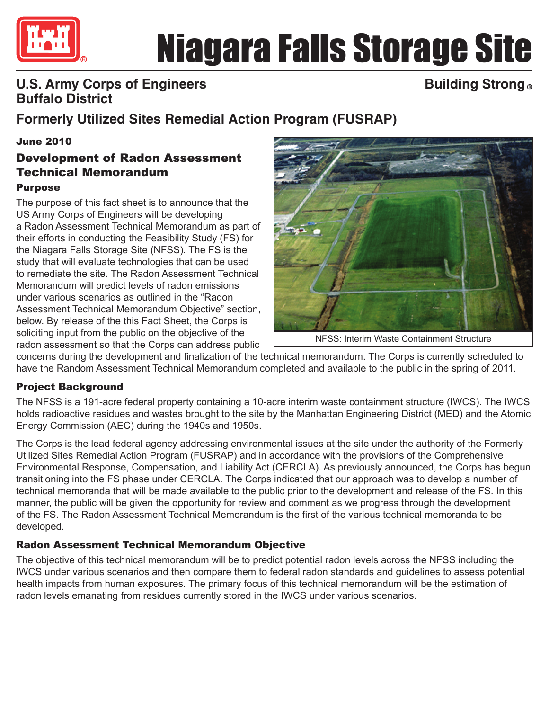

# Niagara Falls Storage Site

## **U.S. Army Corps of Engineers Buffalo District**

## **Building Strong ®**

# **Formerly Utilized Sites Remedial Action Program (FUSRAP)**

#### June 2010

### Development of Radon Assessment Technical Memorandum

#### Purpose

The purpose of this fact sheet is to announce that the US Army Corps of Engineers will be developing a Radon Assessment Technical Memorandum as part of their efforts in conducting the Feasibility Study (FS) for the Niagara Falls Storage Site (NFSS). The FS is the study that will evaluate technologies that can be used to remediate the site. The Radon Assessment Technical Memorandum will predict levels of radon emissions under various scenarios as outlined in the "Radon Assessment Technical Memorandum Objective" section, below. By release of the this Fact Sheet, the Corps is soliciting input from the public on the objective of the radon assessment so that the Corps can address public



NFSS: Interim Waste Containment Structure

concerns during the development and finalization of the technical memorandum. The Corps is currently scheduled to have the Random Assessment Technical Memorandum completed and available to the public in the spring of 2011.

#### Project Background

The NFSS is a 191-acre federal property containing a 10-acre interim waste containment structure (IWCS). The IWCS holds radioactive residues and wastes brought to the site by the Manhattan Engineering District (MED) and the Atomic Energy Commission (AEC) during the 1940s and 1950s.

The Corps is the lead federal agency addressing environmental issues at the site under the authority of the Formerly Utilized Sites Remedial Action Program (FUSRAP) and in accordance with the provisions of the Comprehensive Environmental Response, Compensation, and Liability Act (CERCLA). As previously announced, the Corps has begun transitioning into the FS phase under CERCLA. The Corps indicated that our approach was to develop a number of technical memoranda that will be made available to the public prior to the development and release of the FS. In this manner, the public will be given the opportunity for review and comment as we progress through the development of the FS. The Radon Assessment Technical Memorandum is the first of the various technical memoranda to be developed.

#### Radon Assessment Technical Memorandum Objective

The objective of this technical memorandum will be to predict potential radon levels across the NFSS including the IWCS under various scenarios and then compare them to federal radon standards and guidelines to assess potential health impacts from human exposures. The primary focus of this technical memorandum will be the estimation of radon levels emanating from residues currently stored in the IWCS under various scenarios.